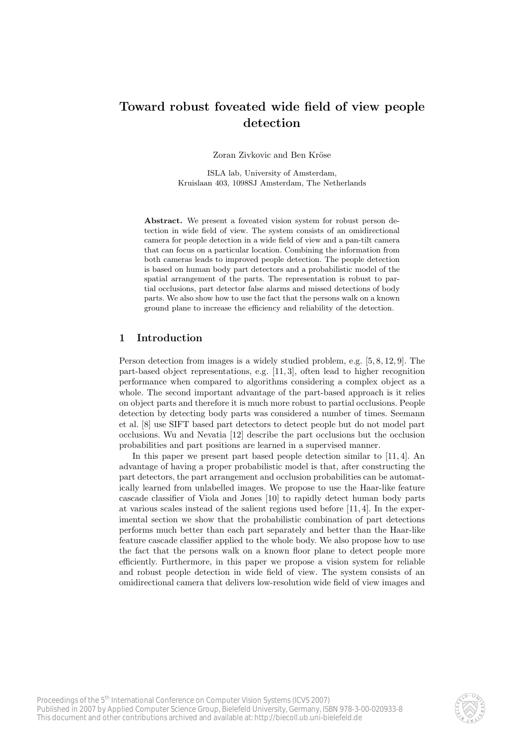# Toward robust foveated wide field of view people detection

Zoran Zivkovic and Ben Kröse

ISLA lab, University of Amsterdam, Kruislaan 403, 1098SJ Amsterdam, The Netherlands

Abstract. We present a foveated vision system for robust person detection in wide field of view. The system consists of an omidirectional camera for people detection in a wide field of view and a pan-tilt camera that can focus on a particular location. Combining the information from both cameras leads to improved people detection. The people detection is based on human body part detectors and a probabilistic model of the spatial arrangement of the parts. The representation is robust to partial occlusions, part detector false alarms and missed detections of body parts. We also show how to use the fact that the persons walk on a known ground plane to increase the efficiency and reliability of the detection.

# 1 Introduction

Person detection from images is a widely studied problem, e.g. [5, 8, 12, 9]. The part-based object representations, e.g. [11, 3], often lead to higher recognition performance when compared to algorithms considering a complex object as a whole. The second important advantage of the part-based approach is it relies on object parts and therefore it is much more robust to partial occlusions. People detection by detecting body parts was considered a number of times. Seemann et al. [8] use SIFT based part detectors to detect people but do not model part occlusions. Wu and Nevatia [12] describe the part occlusions but the occlusion probabilities and part positions are learned in a supervised manner.

In this paper we present part based people detection similar to [11, 4]. An advantage of having a proper probabilistic model is that, after constructing the part detectors, the part arrangement and occlusion probabilities can be automatically learned from unlabelled images. We propose to use the Haar-like feature cascade classifier of Viola and Jones [10] to rapidly detect human body parts at various scales instead of the salient regions used before [11, 4]. In the experimental section we show that the probabilistic combination of part detections performs much better than each part separately and better than the Haar-like feature cascade classifier applied to the whole body. We also propose how to use the fact that the persons walk on a known floor plane to detect people more efficiently. Furthermore, in this paper we propose a vision system for reliable and robust people detection in wide field of view. The system consists of an omidirectional camera that delivers low-resolution wide field of view images and

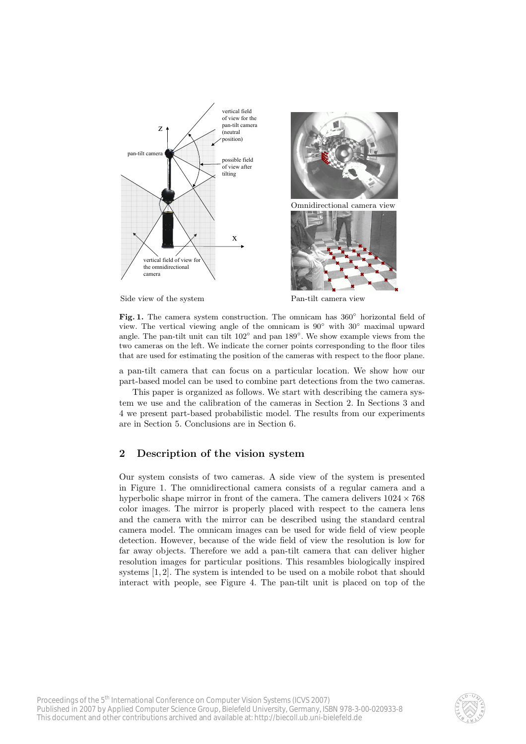



Side view of the system Pan-tilt camera view

Fig. 1. The camera system construction. The omnicam has  $360^\circ$  horizontal field of view. The vertical viewing angle of the omnicam is  $90°$  with  $30°$  maximal upward angle. The pan-tilt unit can tilt 102◦ and pan 189◦ . We show example views from the two cameras on the left. We indicate the corner points corresponding to the floor tiles that are used for estimating the position of the cameras with respect to the floor plane.

a pan-tilt camera that can focus on a particular location. We show how our part-based model can be used to combine part detections from the two cameras.

This paper is organized as follows. We start with describing the camera system we use and the calibration of the cameras in Section 2. In Sections 3 and 4 we present part-based probabilistic model. The results from our experiments are in Section 5. Conclusions are in Section 6.

## 2 Description of the vision system

Our system consists of two cameras. A side view of the system is presented in Figure 1. The omnidirectional camera consists of a regular camera and a hyperbolic shape mirror in front of the camera. The camera delivers  $1024 \times 768$ color images. The mirror is properly placed with respect to the camera lens and the camera with the mirror can be described using the standard central camera model. The omnicam images can be used for wide field of view people detection. However, because of the wide field of view the resolution is low for far away objects. Therefore we add a pan-tilt camera that can deliver higher resolution images for particular positions. This resambles biologically inspired systems [1, 2]. The system is intended to be used on a mobile robot that should interact with people, see Figure 4. The pan-tilt unit is placed on top of the

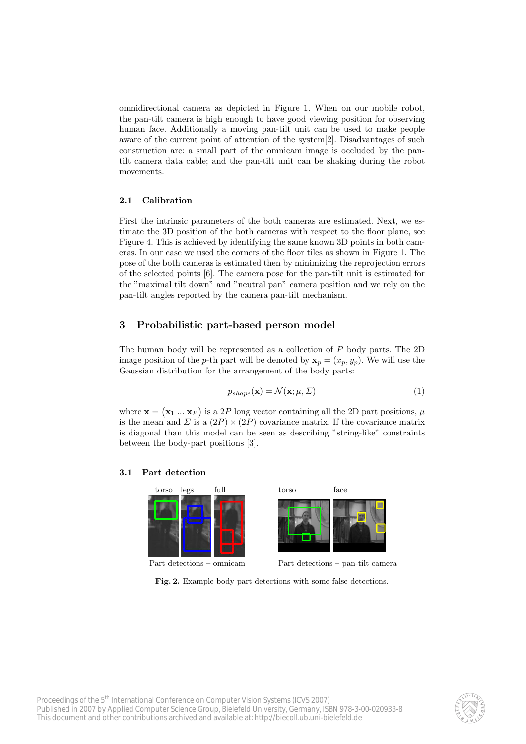omnidirectional camera as depicted in Figure 1. When on our mobile robot, the pan-tilt camera is high enough to have good viewing position for observing human face. Additionally a moving pan-tilt unit can be used to make people aware of the current point of attention of the system[2]. Disadvantages of such construction are: a small part of the omnicam image is occluded by the pantilt camera data cable; and the pan-tilt unit can be shaking during the robot movements.

### 2.1 Calibration

First the intrinsic parameters of the both cameras are estimated. Next, we estimate the 3D position of the both cameras with respect to the floor plane, see Figure 4. This is achieved by identifying the same known 3D points in both cameras. In our case we used the corners of the floor tiles as shown in Figure 1. The pose of the both cameras is estimated then by minimizing the reprojection errors of the selected points [6]. The camera pose for the pan-tilt unit is estimated for the "maximal tilt down" and "neutral pan" camera position and we rely on the pan-tilt angles reported by the camera pan-tilt mechanism.

## 3 Probabilistic part-based person model

The human body will be represented as a collection of P body parts. The 2D image position of the *p*-th part will be denoted by  $\mathbf{x}_p = (x_p, y_p)$ . We will use the Gaussian distribution for the arrangement of the body parts:

$$
p_{shape}(\mathbf{x}) = \mathcal{N}(\mathbf{x}; \mu, \Sigma)
$$
\n(1)

where  $\mathbf{x} = (\mathbf{x}_1 \dots \mathbf{x}_P)$  is a 2P long vector containing all the 2D part positions,  $\mu$ is the mean and  $\Sigma$  is a  $(2P) \times (2P)$  covariance matrix. If the covariance matrix is diagonal than this model can be seen as describing "string-like" constraints between the body-part positions [3].

#### 3.1 Part detection



Fig. 2. Example body part detections with some false detections.

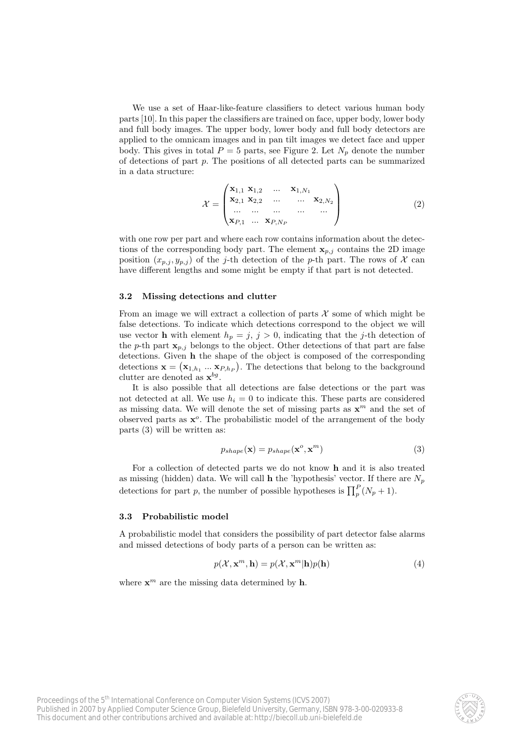We use a set of Haar-like-feature classifiers to detect various human body parts [10]. In this paper the classifiers are trained on face, upper body, lower body and full body images. The upper body, lower body and full body detectors are applied to the omnicam images and in pan tilt images we detect face and upper body. This gives in total  $P = 5$  parts, see Figure 2. Let  $N_p$  denote the number of detections of part p. The positions of all detected parts can be summarized in a data structure:

$$
\mathcal{X} = \begin{pmatrix} \mathbf{x}_{1,1} & \mathbf{x}_{1,2} & \dots & \mathbf{x}_{1,N_1} \\ \mathbf{x}_{2,1} & \mathbf{x}_{2,2} & \dots & \dots & \mathbf{x}_{2,N_2} \\ \dots & \dots & \dots & \dots & \dots \\ \mathbf{x}_{P,1} & \dots & \mathbf{x}_{P,N_P} & \end{pmatrix}
$$
(2)

with one row per part and where each row contains information about the detections of the corresponding body part. The element  $x_{p,i}$  contains the 2D image position  $(x_{p,j}, y_{p,j})$  of the j-th detection of the p-th part. The rows of X can have different lengths and some might be empty if that part is not detected.

#### 3.2 Missing detections and clutter

From an image we will extract a collection of parts  $X$  some of which might be false detections. To indicate which detections correspond to the object we will use vector **h** with element  $h_p = j$ ,  $j > 0$ , indicating that the j-th detection of the p-th part  $\mathbf{x}_{p,i}$  belongs to the object. Other detections of that part are false detections. Given h the shape of the object is composed of the corresponding detections  $\mathbf{x} = (\mathbf{x}_{1,h_1} \dots \mathbf{x}_{P,h_P})$ . The detections that belong to the background clutter are denoted as  $\mathbf{x}^{bg}$ .

It is also possible that all detections are false detections or the part was not detected at all. We use  $h_i = 0$  to indicate this. These parts are considered as missing data. We will denote the set of missing parts as  $\mathbf{x}^m$  and the set of observed parts as  $x^o$ . The probabilistic model of the arrangement of the body parts (3) will be written as:

$$
p_{shape}(\mathbf{x}) = p_{shape}(\mathbf{x}^o, \mathbf{x}^m)
$$
\n(3)

For a collection of detected parts we do not know h and it is also treated as missing (hidden) data. We will call **h** the 'hypothesis' vector. If there are  $N_p$ detections for part p, the number of possible hypotheses is  $\prod_{p}^{P}(N_p + 1)$ .

#### 3.3 Probabilistic model

A probabilistic model that considers the possibility of part detector false alarms and missed detections of body parts of a person can be written as:

$$
p(\mathcal{X}, \mathbf{x}^m, \mathbf{h}) = p(\mathcal{X}, \mathbf{x}^m | \mathbf{h}) p(\mathbf{h})
$$
\n(4)

where  $\mathbf{x}^m$  are the missing data determined by **h**.

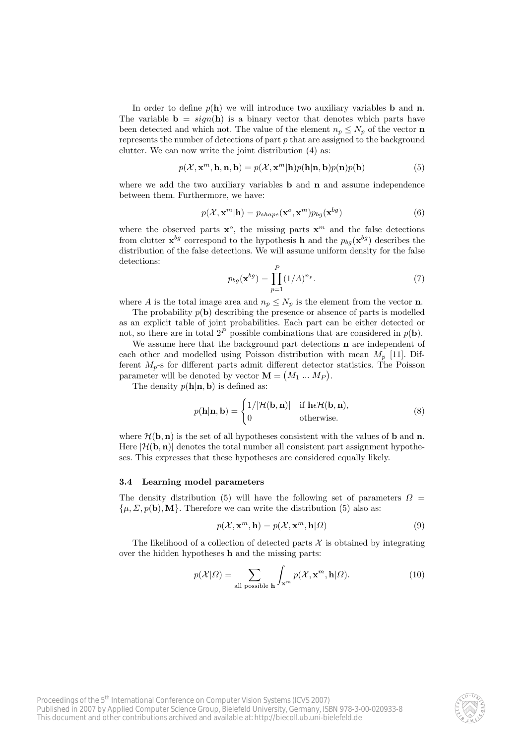In order to define  $p(h)$  we will introduce two auxiliary variables **b** and **n**. The variable  $\mathbf{b} = sign(\mathbf{h})$  is a binary vector that denotes which parts have been detected and which not. The value of the element  $n_p \leq N_p$  of the vector **n** represents the number of detections of part  $p$  that are assigned to the background clutter. We can now write the joint distribution (4) as:

$$
p(\mathcal{X}, \mathbf{x}^m, \mathbf{h}, \mathbf{n}, \mathbf{b}) = p(\mathcal{X}, \mathbf{x}^m | \mathbf{h}) p(\mathbf{h} | \mathbf{n}, \mathbf{b}) p(\mathbf{n}) p(\mathbf{b})
$$
(5)

where we add the two auxiliary variables **b** and **n** and assume independence between them. Furthermore, we have:

$$
p(\mathcal{X}, \mathbf{x}^m | \mathbf{h}) = p_{shape}(\mathbf{x}^o, \mathbf{x}^m) p_{bg}(\mathbf{x}^{bg})
$$
\n(6)

where the observed parts  $x^o$ , the missing parts  $x^m$  and the false detections from clutter  $\mathbf{x}^{bg}$  correspond to the hypothesis **h** and the  $p_{bg}(\mathbf{x}^{bg})$  describes the distribution of the false detections. We will assume uniform density for the false detections:

$$
p_{bg}(\mathbf{x}^{bg}) = \prod_{p=1}^{P} (1/A)^{n_p}.
$$
 (7)

where A is the total image area and  $n_p \leq N_p$  is the element from the vector **n**.

The probability  $p(\mathbf{b})$  describing the presence or absence of parts is modelled as an explicit table of joint probabilities. Each part can be either detected or not, so there are in total  $2^P$  possible combinations that are considered in  $p(\mathbf{b})$ .

We assume here that the background part detections **n** are independent of each other and modelled using Poisson distribution with mean  $M_n$  [11]. Different  $M_p$ -s for different parts admit different detector statistics. The Poisson parameter will be denoted by vector  $\mathbf{M} = (M_1 ... M_P)$ .

The density  $p(\mathbf{h}|\mathbf{n}, \mathbf{b})$  is defined as:

$$
p(\mathbf{h}|\mathbf{n}, \mathbf{b}) = \begin{cases} 1/|\mathcal{H}(\mathbf{b}, \mathbf{n})| & \text{if } \mathbf{h} \in \mathcal{H}(\mathbf{b}, \mathbf{n}), \\ 0 & \text{otherwise.} \end{cases}
$$
(8)

where  $\mathcal{H}(\mathbf{b}, \mathbf{n})$  is the set of all hypotheses consistent with the values of **b** and **n**. Here  $|\mathcal{H}(\mathbf{b}, \mathbf{n})|$  denotes the total number all consistent part assignment hypotheses. This expresses that these hypotheses are considered equally likely.

## 3.4 Learning model parameters

The density distribution (5) will have the following set of parameters  $\Omega =$  $\{\mu, \Sigma, p(\mathbf{b}), \mathbf{M}\}\$ . Therefore we can write the distribution (5) also as:

$$
p(\mathcal{X}, \mathbf{x}^m, \mathbf{h}) = p(\mathcal{X}, \mathbf{x}^m, \mathbf{h} | \Omega)
$$
\n(9)

The likelihood of a collection of detected parts  $X$  is obtained by integrating over the hidden hypotheses h and the missing parts:

$$
p(\mathcal{X}|\Omega) = \sum_{\text{all possible } \mathbf{h}} \int_{\mathbf{x}^m} p(\mathcal{X}, \mathbf{x}^m, \mathbf{h}|\Omega). \tag{10}
$$

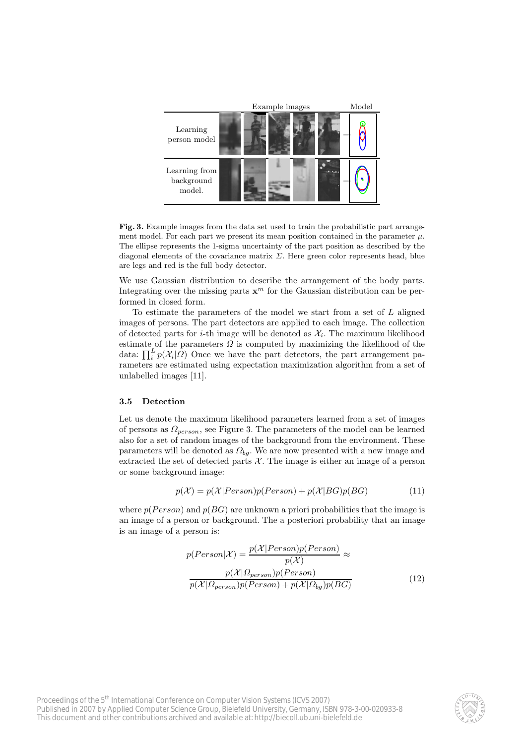

Fig. 3. Example images from the data set used to train the probabilistic part arrangement model. For each part we present its mean position contained in the parameter  $\mu$ . The ellipse represents the 1-sigma uncertainty of the part position as described by the diagonal elements of the covariance matrix  $\Sigma$ . Here green color represents head, blue are legs and red is the full body detector.

We use Gaussian distribution to describe the arrangement of the body parts. Integrating over the missing parts  $x^m$  for the Gaussian distribution can be performed in closed form.

To estimate the parameters of the model we start from a set of L aligned images of persons. The part detectors are applied to each image. The collection of detected parts for *i*-th image will be denoted as  $\mathcal{X}_i$ . The maximum likelihood estimate of the parameters  $\Omega$  is computed by maximizing the likelihood of the data:  $\prod_i^L p(\mathcal{X}_i|\Omega)$  Once we have the part detectors, the part arrangement parameters are estimated using expectation maximization algorithm from a set of unlabelled images [11].

## 3.5 Detection

Let us denote the maximum likelihood parameters learned from a set of images of persons as  $\Omega_{person}$ , see Figure 3. The parameters of the model can be learned also for a set of random images of the background from the environment. These parameters will be denoted as  $\Omega_{bg}$ . We are now presented with a new image and extracted the set of detected parts  $X$ . The image is either an image of a person or some background image:

$$
p(\mathcal{X}) = p(\mathcal{X}|Person)p(Person) + p(\mathcal{X}|BG)p(BG)
$$
\n(11)

where  $p(Person)$  and  $p(BG)$  are unknown a priori probabilities that the image is an image of a person or background. The a posteriori probability that an image is an image of a person is:

$$
p(Person|\mathcal{X}) = \frac{p(\mathcal{X}|Person)p(Person)}{p(\mathcal{X})} \approx
$$

$$
\frac{p(\mathcal{X}|\Omega_{person})p(Person)}{p(\mathcal{X}|\Omega_{person})p(Person) + p(\mathcal{X}|\Omega_{bg})p(BG)}
$$
(12)

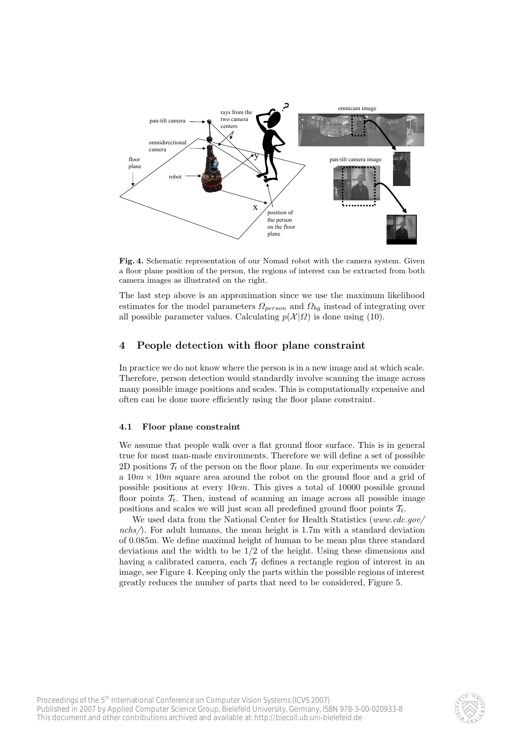

Fig. 4. Schematic representation of our Nomad robot with the camera system. Given a floor plane position of the person, the regions of interest can be extracted from both camera images as illustrated on the right.

The last step above is an approximation since we use the maximum likelihood estimates for the model parameters  $\Omega_{person}$  and  $\Omega_{ba}$  instead of integrating over all possible parameter values. Calculating  $p(\mathcal{X} | \Omega)$  is done using (10).

# 4 People detection with floor plane constraint

In practice we do not know where the person is in a new image and at which scale. Therefore, person detection would standardly involve scanning the image across many possible image positions and scales. This is computationally expensive and often can be done more efficiently using the floor plane constraint.

## 4.1 Floor plane constraint

We assume that people walk over a flat ground floor surface. This is in general true for most man-made environments. Therefore we will define a set of possible 2D positions  $\mathcal{T}_t$  of the person on the floor plane. In our experiments we consider a  $10m \times 10m$  square area around the robot on the ground floor and a grid of possible positions at every 10cm. This gives a total of 10000 possible ground floor points  $\mathcal{T}_t$ . Then, instead of scanning an image across all possible image positions and scales we will just scan all predefined ground floor points  $\mathcal{T}_t$ .

We used data from the National Center for Health Statistics (www.cdc.gov/ nchs $\land$ . For adult humans, the mean height is 1.7m with a standard deviation of 0.085m. We define maximal height of human to be mean plus three standard deviations and the width to be 1/2 of the height. Using these dimensions and having a calibrated camera, each  $\mathcal{T}_t$  defines a rectangle region of interest in an image, see Figure 4. Keeping only the parts within the possible regions of interest greatly reduces the number of parts that need to be considered, Figure 5.

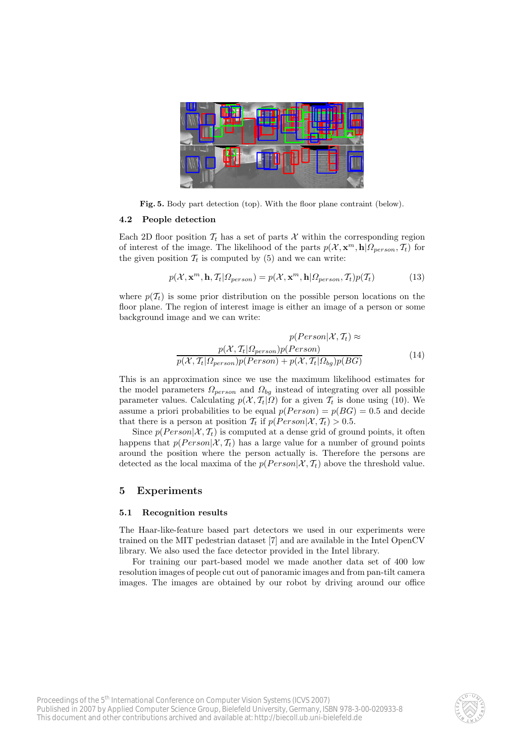

Fig. 5. Body part detection (top). With the floor plane contraint (below).

#### 4.2 People detection

Each 2D floor position  $\mathcal{T}_t$  has a set of parts X within the corresponding region of interest of the image. The likelihood of the parts  $p(\mathcal{X}, \mathbf{x}^m, \mathbf{h} | \Omega_{person}, \mathcal{T}_t)$  for the given position  $\mathcal{T}_t$  is computed by (5) and we can write:

$$
p(\mathcal{X}, \mathbf{x}^m, \mathbf{h}, \mathcal{T}_t | \mathcal{Q}_{person}) = p(\mathcal{X}, \mathbf{x}^m, \mathbf{h} | \mathcal{Q}_{person}, \mathcal{T}_t) p(\mathcal{T}_t)
$$
(13)

where  $p(\mathcal{T}_t)$  is some prior distribution on the possible person locations on the floor plane. The region of interest image is either an image of a person or some background image and we can write:

$$
p(Person|\mathcal{X}, \mathcal{T}_t) \approx
$$

$$
\frac{p(\mathcal{X}, \mathcal{T}_t | \mathcal{\Omega}_{person}) p(Person)}{p(\mathcal{X}, \mathcal{T}_t | \mathcal{\Omega}_{person}) p(Person) + p(\mathcal{X}, \mathcal{T}_t | \mathcal{\Omega}_{bg}) p(BG)}
$$
(14)

This is an approximation since we use the maximum likelihood estimates for the model parameters  $\Omega_{person}$  and  $\Omega_{bg}$  instead of integrating over all possible parameter values. Calculating  $p(\mathcal{X}, \mathcal{T}_t|\Omega)$  for a given  $\mathcal{T}_t$  is done using (10). We assume a priori probabilities to be equal  $p(Person) = p(BG) = 0.5$  and decide that there is a person at position  $\mathcal{T}_t$  if  $p(Person|\mathcal{X}, \mathcal{T}_t) > 0.5$ .

Since  $p(Person|\mathcal{X}, \mathcal{T}_t)$  is computed at a dense grid of ground points, it often happens that  $p(Person|\mathcal{X}, \mathcal{T}_t)$  has a large value for a number of ground points around the position where the person actually is. Therefore the persons are detected as the local maxima of the  $p(Person|\mathcal{X}, \mathcal{T}_t)$  above the threshold value.

## 5 Experiments

#### 5.1 Recognition results

The Haar-like-feature based part detectors we used in our experiments were trained on the MIT pedestrian dataset [7] and are available in the Intel OpenCV library. We also used the face detector provided in the Intel library.

For training our part-based model we made another data set of 400 low resolution images of people cut out of panoramic images and from pan-tilt camera images. The images are obtained by our robot by driving around our office

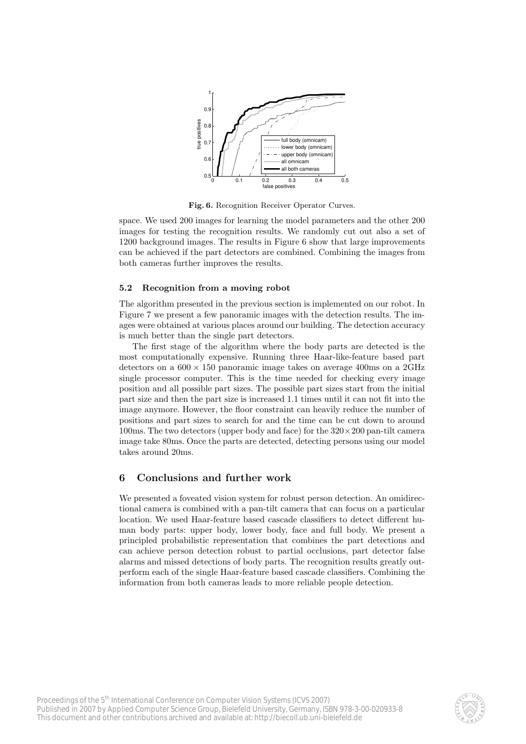

Fig. 6. Recognition Receiver Operator Curves.

space. We used 200 images for learning the model parameters and the other 200 images for testing the recognition results. We randomly cut out also a set of 1200 background images. The results in Figure 6 show that large improvements can be achieved if the part detectors are combined. Combining the images from both cameras further improves the results.

#### 5.2 Recognition from a moving robot

The algorithm presented in the previous section is implemented on our robot. In Figure 7 we present a few panoramic images with the detection results. The images were obtained at various places around our building. The detection accuracy is much better than the single part detectors.

The first stage of the algorithm where the body parts are detected is the most computationally expensive. Running three Haar-like-feature based part detectors on a  $600 \times 150$  panoramic image takes on average 400ms on a  $2 \text{GHz}$ single processor computer. This is the time needed for checking every image position and all possible part sizes. The possible part sizes start from the initial part size and then the part size is increased 1.1 times until it can not fit into the image anymore. However, the floor constraint can heavily reduce the number of positions and part sizes to search for and the time can be cut down to around 100ms. The two detectors (upper body and face) for the  $320 \times 200$  pan-tilt camera image take 80ms. Once the parts are detected, detecting persons using our model takes around 20ms.

# 6 Conclusions and further work

We presented a foveated vision system for robust person detection. An omidirectional camera is combined with a pan-tilt camera that can focus on a particular location. We used Haar-feature based cascade classifiers to detect different human body parts: upper body, lower body, face and full body. We present a principled probabilistic representation that combines the part detections and can achieve person detection robust to partial occlusions, part detector false alarms and missed detections of body parts. The recognition results greatly outperform each of the single Haar-feature based cascade classifiers. Combining the information from both cameras leads to more reliable people detection.